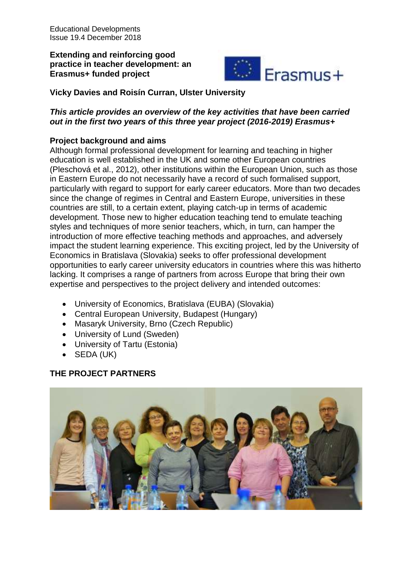**Extending and reinforcing good practice in teacher development: an Erasmus+ funded project**



**Vicky Davies and Roisín Curran, Ulster University**

# *This article provides an overview of the key activities that have been carried out in the first two years of this three year project (2016-2019) Erasmus+*

# **Project background and aims**

Although formal professional development for learning and teaching in higher education is well established in the UK and some other European countries (Pleschová et al., 2012), other institutions within the European Union, such as those in Eastern Europe do not necessarily have a record of such formalised support, particularly with regard to support for early career educators. More than two decades since the change of regimes in Central and Eastern Europe, universities in these countries are still, to a certain extent, playing catch-up in terms of academic development. Those new to higher education teaching tend to emulate teaching styles and techniques of more senior teachers, which, in turn, can hamper the introduction of more effective teaching methods and approaches, and adversely impact the student learning experience. This exciting project, led by the University of Economics in Bratislava (Slovakia) seeks to offer professional development opportunities to early career university educators in countries where this was hitherto lacking. It comprises a range of partners from across Europe that bring their own expertise and perspectives to the project delivery and intended outcomes:

- University of Economics, Bratislava (EUBA) (Slovakia)
- Central European University, Budapest (Hungary)
- Masaryk University, Brno (Czech Republic)
- University of Lund (Sweden)
- University of Tartu (Estonia)
- SEDA (UK)

# **THE PROJECT PARTNERS**

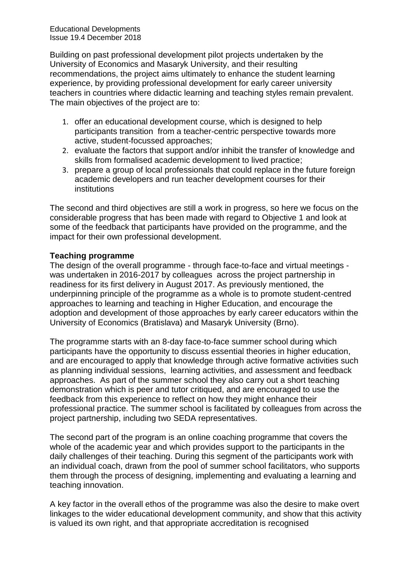Building on past professional development pilot projects undertaken by the University of Economics and Masaryk University, and their resulting recommendations, the project aims ultimately to enhance the student learning experience, by providing professional development for early career university teachers in countries where didactic learning and teaching styles remain prevalent. The main objectives of the project are to:

- 1. offer an educational development course, which is designed to help participants transition from a teacher-centric perspective towards more active, student-focussed approaches;
- 2. evaluate the factors that support and/or inhibit the transfer of knowledge and skills from formalised academic development to lived practice;
- 3. prepare a group of local professionals that could replace in the future foreign academic developers and run teacher development courses for their institutions

The second and third objectives are still a work in progress, so here we focus on the considerable progress that has been made with regard to Objective 1 and look at some of the feedback that participants have provided on the programme, and the impact for their own professional development.

#### **Teaching programme**

The design of the overall programme - through face-to-face and virtual meetings was undertaken in 2016-2017 by colleagues across the project partnership in readiness for its first delivery in August 2017. As previously mentioned, the underpinning principle of the programme as a whole is to promote student-centred approaches to learning and teaching in Higher Education, and encourage the adoption and development of those approaches by early career educators within the University of Economics (Bratislava) and Masaryk University (Brno).

The programme starts with an 8-day face-to-face summer school during which participants have the opportunity to discuss essential theories in higher education, and are encouraged to apply that knowledge through active formative activities such as planning individual sessions, learning activities, and assessment and feedback approaches. As part of the summer school they also carry out a short teaching demonstration which is peer and tutor critiqued, and are encouraged to use the feedback from this experience to reflect on how they might enhance their professional practice. The summer school is facilitated by colleagues from across the project partnership, including two SEDA representatives.

The second part of the program is an online coaching programme that covers the whole of the academic year and which provides support to the participants in the daily challenges of their teaching. During this segment of the participants work with an individual coach, drawn from the pool of summer school facilitators, who supports them through the process of designing, implementing and evaluating a learning and teaching innovation.

A key factor in the overall ethos of the programme was also the desire to make overt linkages to the wider educational development community, and show that this activity is valued its own right, and that appropriate accreditation is recognised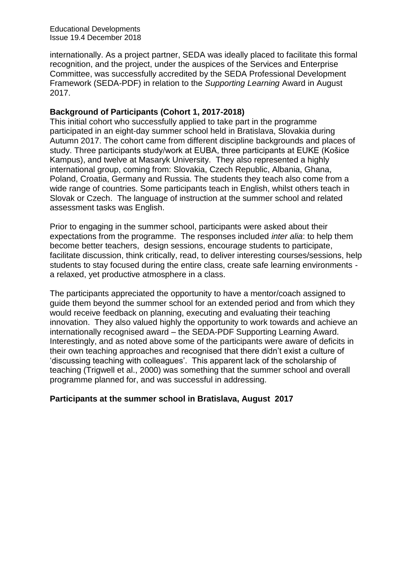internationally. As a project partner, SEDA was ideally placed to facilitate this formal recognition, and the project, under the auspices of the Services and Enterprise Committee, was successfully accredited by the SEDA Professional Development Framework (SEDA-PDF) in relation to the *Supporting Learning* Award in August 2017.

#### **Background of Participants (Cohort 1, 2017-2018)**

This initial cohort who successfully applied to take part in the programme participated in an eight-day summer school held in Bratislava, Slovakia during Autumn 2017. The cohort came from different discipline backgrounds and places of study. Three participants study/work at EUBA, three participants at EUKE (Košice Kampus), and twelve at Masaryk University. They also represented a highly international group, coming from: Slovakia, Czech Republic, Albania, Ghana, Poland, Croatia, Germany and Russia. The students they teach also come from a wide range of countries. Some participants teach in English, whilst others teach in Slovak or Czech. The language of instruction at the summer school and related assessment tasks was English.

Prior to engaging in the summer school, participants were asked about their expectations from the programme. The responses included *inter alia*: to help them become better teachers, design sessions, encourage students to participate, facilitate discussion, think critically, read, to deliver interesting courses/sessions, help students to stay focused during the entire class, create safe learning environments a relaxed, yet productive atmosphere in a class.

The participants appreciated the opportunity to have a mentor/coach assigned to guide them beyond the summer school for an extended period and from which they would receive feedback on planning, executing and evaluating their teaching innovation. They also valued highly the opportunity to work towards and achieve an internationally recognised award – the SEDA-PDF Supporting Learning Award. Interestingly, and as noted above some of the participants were aware of deficits in their own teaching approaches and recognised that there didn't exist a culture of 'discussing teaching with colleagues'. This apparent lack of the scholarship of teaching (Trigwell et al., 2000) was something that the summer school and overall programme planned for, and was successful in addressing.

### **Participants at the summer school in Bratislava, August 2017**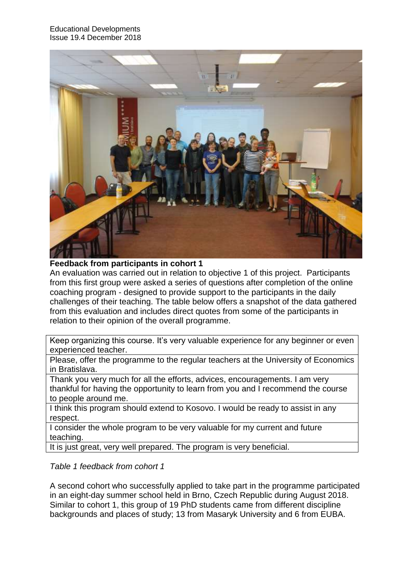

**Feedback from participants in cohort 1**

An evaluation was carried out in relation to objective 1 of this project. Participants from this first group were asked a series of questions after completion of the online coaching program - designed to provide support to the participants in the daily challenges of their teaching. The table below offers a snapshot of the data gathered from this evaluation and includes direct quotes from some of the participants in relation to their opinion of the overall programme.

Keep organizing this course. It's very valuable experience for any beginner or even experienced teacher.

Please, offer the programme to the regular teachers at the University of Economics in Bratislava.

Thank you very much for all the efforts, advices, encouragements. I am very thankful for having the opportunity to learn from you and I recommend the course to people around me.

I think this program should extend to Kosovo. I would be ready to assist in any respect.

I consider the whole program to be very valuable for my current and future teaching.

It is just great, very well prepared. The program is very beneficial.

*Table 1 feedback from cohort 1* 

A second cohort who successfully applied to take part in the programme participated in an eight-day summer school held in Brno, Czech Republic during August 2018. Similar to cohort 1, this group of 19 PhD students came from different discipline backgrounds and places of study; 13 from Masaryk University and 6 from EUBA.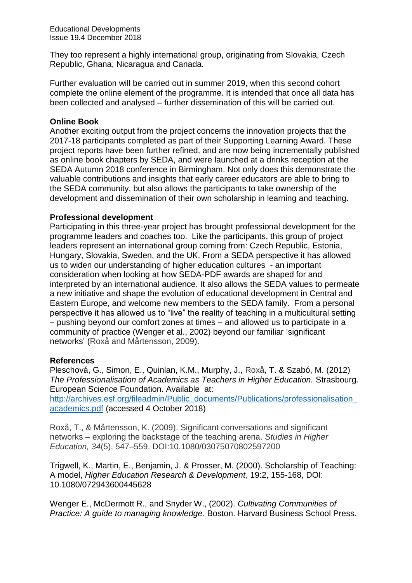They too represent a highly international group, originating from Slovakia, Czech Republic, Ghana, Nicaragua and Canada.

Further evaluation will be carried out in summer 2019, when this second cohort complete the online element of the programme. It is intended that once all data has been collected and analysed – further dissemination of this will be carried out.

#### **Online Book**

Another exciting output from the project concerns the innovation projects that the 2017-18 participants completed as part of their Supporting Learning Award. These project reports have been further refined, and are now being incrementally published as online book chapters by SEDA, and were launched at a drinks reception at the SEDA Autumn 2018 conference in Birmingham. Not only does this demonstrate the valuable contributions and insights that early career educators are able to bring to the SEDA community, but also allows the participants to take ownership of the development and dissemination of their own scholarship in learning and teaching.

#### **Professional development**

Participating in this three-year project has brought professional development for the programme leaders and coaches too. Like the participants, this group of project leaders represent an international group coming from: Czech Republic, Estonia, Hungary, Slovakia, Sweden, and the UK. From a SEDA perspective it has allowed us to widen our understanding of higher education cultures - an important consideration when looking at how SEDA-PDF awards are shaped for and interpreted by an international audience. It also allows the SEDA values to permeate a new initiative and shape the evolution of educational development in Central and Eastern Europe, and welcome new members to the SEDA family. From a personal perspective it has allowed us to "live" the reality of teaching in a multicultural setting – pushing beyond our comfort zones at times – and allowed us to participate in a community of practice (Wenger et al., 2002) beyond our familiar 'significant networks' (Roxå and Mårtensson, 2009).

#### **References**

Pleschová, G., Simon, E., Quinlan, K.M., Murphy, J., Roxå, T. & Szabó, M. (2012) *The Professionalisation of Academics as Teachers in Higher Education.* Strasbourg. European Science Foundation. Available at: http://archives.esf.org/fileadmin/Public\_documents/Publications/professionalisation [academics.pdf](http://archives.esf.org/fileadmin/Public_documents/Publications/professionalisation_academics.pdf) (accessed 4 October 2018)

Roxå, T., & Mårtensson, K. (2009). Significant conversations and significant networks – exploring the backstage of the teaching arena. *Studies in Higher Education, 34*(5), 547–559. DOI:10.1080/03075070802597200

Trigwell, K., Martin, E., Benjamin, J. & Prosser, M. (2000). Scholarship of Teaching: A model, *Higher Education Research & Development*, 19:2, 155-168, DOI: 10.1080/072943600445628

Wenger E., McDermott R., and Snyder W., (2002). *Cultivating Communities of Practice: A guide to managing knowledge*. Boston. Harvard Business School Press.